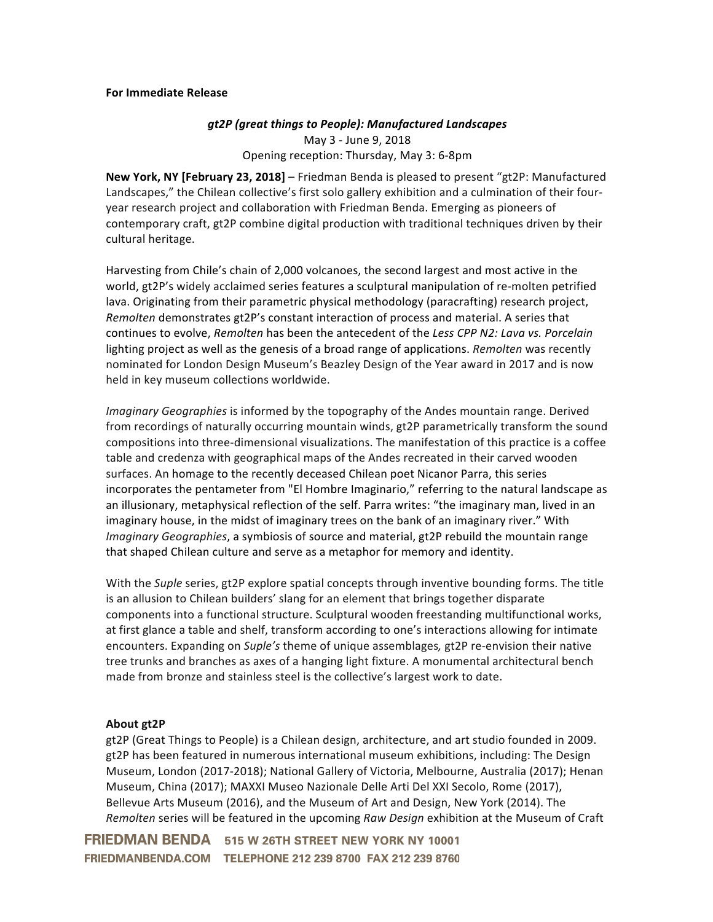## **For Immediate Release**

## *gt2P (great things to People): Manufactured Landscapes* May 3 - June 9, 2018 Opening reception: Thursday, May 3: 6-8pm

**New York, NY [February 23, 2018]** – Friedman Benda is pleased to present "gt2P: Manufactured Landscapes," the Chilean collective's first solo gallery exhibition and a culmination of their fouryear research project and collaboration with Friedman Benda. Emerging as pioneers of contemporary craft, gt2P combine digital production with traditional techniques driven by their cultural heritage.

Harvesting from Chile's chain of 2,000 volcanoes, the second largest and most active in the world, gt2P's widely acclaimed series features a sculptural manipulation of re-molten petrified lava. Originating from their parametric physical methodology (paracrafting) research project, *Remolten* demonstrates gt2P's constant interaction of process and material. A series that continues to evolve, *Remolten* has been the antecedent of the *Less CPP N2: Lava vs. Porcelain* lighting project as well as the genesis of a broad range of applications. *Remolten* was recently nominated for London Design Museum's Beazley Design of the Year award in 2017 and is now held in key museum collections worldwide.

*Imaginary Geographies* is informed by the topography of the Andes mountain range. Derived from recordings of naturally occurring mountain winds, gt2P parametrically transform the sound compositions into three-dimensional visualizations. The manifestation of this practice is a coffee table and credenza with geographical maps of the Andes recreated in their carved wooden surfaces. An homage to the recently deceased Chilean poet Nicanor Parra, this series incorporates the pentameter from "El Hombre Imaginario," referring to the natural landscape as an illusionary, metaphysical reflection of the self. Parra writes: "the imaginary man, lived in an imaginary house, in the midst of imaginary trees on the bank of an imaginary river." With *Imaginary Geographies*, a symbiosis of source and material, gt2P rebuild the mountain range that shaped Chilean culture and serve as a metaphor for memory and identity.

With the *Suple* series, gt2P explore spatial concepts through inventive bounding forms. The title is an allusion to Chilean builders' slang for an element that brings together disparate components into a functional structure. Sculptural wooden freestanding multifunctional works, at first glance a table and shelf, transform according to one's interactions allowing for intimate encounters. Expanding on *Suple's* theme of unique assemblages*,* gt2P re-envision their native tree trunks and branches as axes of a hanging light fixture. A monumental architectural bench made from bronze and stainless steel is the collective's largest work to date.

## **About gt2P**

gt2P (Great Things to People) is a Chilean design, architecture, and art studio founded in 2009. gt2P has been featured in numerous international museum exhibitions, including: The Design Museum, London (2017-2018); National Gallery of Victoria, Melbourne, Australia (2017); Henan Museum, China (2017); MAXXI Museo Nazionale Delle Arti Del XXI Secolo, Rome (2017), Bellevue Arts Museum (2016), and the Museum of Art and Design, New York (2014). The *Remolten* series will be featured in the upcoming *Raw Design* exhibition at the Museum of Craft

**FRIEDMAN BENDA** 515 W 26TH STREET NEW YORK NY 10001 FRIEDMANBENDA.COM TELEPHONE 212 239 8700 FAX 212 239 8760